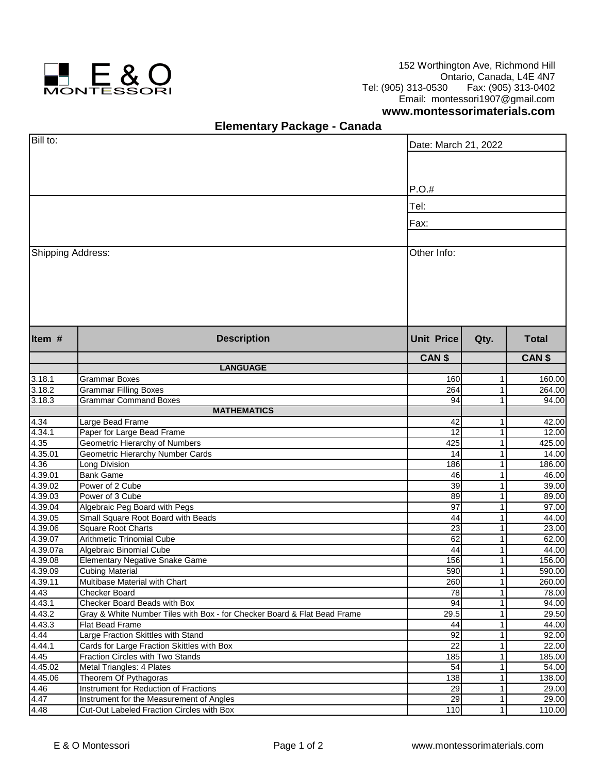

152 Worthington Ave, Richmond Hill Ontario, Canada, L4E 4N7<br>Tel: (905) 313-0530 Fax: (905) 313-0402 Tel: (905) 313-0530 Fax: (905) 313-0402 Email: montessori1907@gmail.com

## **www.montessorimaterials.com**

## **Elementary Package - Canada**

| Bill to:           |                                                                          | Date: March 21, 2022 |                |                   |  |
|--------------------|--------------------------------------------------------------------------|----------------------|----------------|-------------------|--|
|                    |                                                                          |                      |                |                   |  |
|                    |                                                                          |                      |                |                   |  |
|                    |                                                                          | P.O.#                |                |                   |  |
|                    |                                                                          |                      |                |                   |  |
|                    |                                                                          |                      | Tel:           |                   |  |
|                    |                                                                          | Fax:                 |                |                   |  |
|                    |                                                                          |                      |                |                   |  |
| Shipping Address:  |                                                                          | Other Info:          |                |                   |  |
|                    |                                                                          |                      |                |                   |  |
|                    |                                                                          |                      |                |                   |  |
|                    |                                                                          |                      |                |                   |  |
|                    |                                                                          |                      |                |                   |  |
|                    |                                                                          |                      |                |                   |  |
|                    |                                                                          |                      |                |                   |  |
| Item #             | <b>Description</b>                                                       | <b>Unit Price</b>    | Qty.           | <b>Total</b>      |  |
|                    |                                                                          | CAN <sub>\$</sub>    |                | CAN <sub>\$</sub> |  |
|                    | <b>LANGUAGE</b>                                                          |                      |                |                   |  |
| 3.18.1             | <b>Grammar Boxes</b>                                                     | 160                  | 1              | 160.00            |  |
| 3.18.2             | <b>Grammar Filling Boxes</b>                                             | 264                  | 11             | 264.00            |  |
| 3.18.3             | <b>Grammar Command Boxes</b>                                             | 94                   | 1              | 94.00             |  |
|                    | <b>MATHEMATICS</b>                                                       |                      |                |                   |  |
| 4.34               | Large Bead Frame                                                         | 42                   | 1              | 42.00             |  |
| 4.34.1             | Paper for Large Bead Frame                                               | 12                   | $\mathbf{1}$   | 12.00             |  |
| 4.35               | Geometric Hierarchy of Numbers                                           | 425                  | 1 <sup>1</sup> | 425.00            |  |
| 4.35.01            | Geometric Hierarchy Number Cards                                         | 14                   | 1              | 14.00             |  |
| 4.36               | Long Division                                                            | 186                  | 1              | 186.00            |  |
| 4.39.01            | <b>Bank Game</b>                                                         | 46                   | 1              | 46.00             |  |
| 4.39.02            | Power of 2 Cube                                                          | 39                   | 1              | 39.00             |  |
| 4.39.03            | Power of 3 Cube                                                          | 89                   | 1              | 89.00             |  |
| 4.39.04            | Algebraic Peg Board with Pegs                                            | 97                   | 1              | 97.00             |  |
| 4.39.05<br>4.39.06 | Small Square Root Board with Beads<br><b>Square Root Charts</b>          | 44<br>23             | 1<br>1         | 44.00<br>23.00    |  |
| 4.39.07            | <b>Arithmetic Trinomial Cube</b>                                         | 62                   | 1              | 62.00             |  |
| 4.39.07a           | Algebraic Binomial Cube                                                  | 44                   | 1              | 44.00             |  |
| 4.39.08            | <b>Elementary Negative Snake Game</b>                                    | 156                  | 1              | 156.00            |  |
| 4.39.09            | <b>Cubing Material</b>                                                   | 590                  | 11             | 590.00            |  |
| 4.39.11            | Multibase Material with Chart                                            | 260                  | 1              | 260.00            |  |
| 4.43               | <b>Checker Board</b>                                                     | 78                   | 1              | 78.00             |  |
| 4.43.1             | Checker Board Beads with Box                                             | 94                   | 1              | 94.00             |  |
| 4.43.2             | Gray & White Number Tiles with Box - for Checker Board & Flat Bead Frame | 29.5                 | 1              | 29.50             |  |
| 4.43.3             | <b>Flat Bead Frame</b>                                                   | 44                   | 1              | 44.00             |  |
| 4.44               | Large Fraction Skittles with Stand                                       | $\overline{92}$      | 1              | 92.00             |  |
| 4.44.1             | Cards for Large Fraction Skittles with Box                               | $\overline{22}$      | 1              | 22.00             |  |
| 4.45               | Fraction Circles with Two Stands                                         | 185                  | 1              | 185.00            |  |
| 4.45.02            | Metal Triangles: 4 Plates                                                | 54                   | $\mathbf{1}$   | 54.00             |  |
| 4.45.06            | Theorem Of Pythagoras                                                    | 138                  | 1              | 138.00            |  |
| 4.46               | Instrument for Reduction of Fractions                                    | $\overline{29}$      | 1              | 29.00             |  |
| 4.47               | Instrument for the Measurement of Angles                                 | $\overline{29}$      | 1              | 29.00             |  |
| 4.48               | Cut-Out Labeled Fraction Circles with Box                                | 110                  | 1 <sup>1</sup> | 110.00            |  |